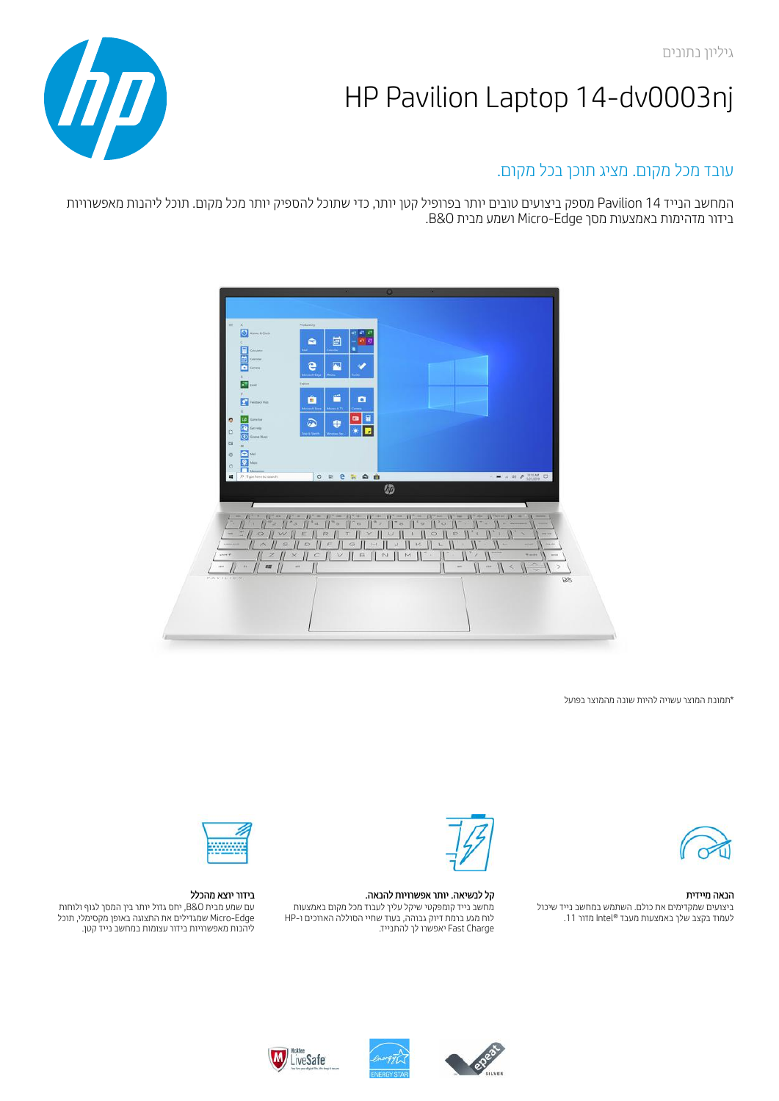

# עובד מכל מקום. מציג תוכן בכל מקום.

המחשב הנייד 14 Pavilion מספק ביצועים טובים יותר בפרופיל קטן יותר, כדי שתוכל להספיק יותר מכל מקום. תוכל ליהנות מאפשרויות בידור מדהימות באמצעות מסך Edge-Micro ושמע מבית O&B.



\*תמונת המוצר עשויה להיות שונה מהמוצר בפועל



הנאה מיידית ביצועים שמקדימים את כולם. השתמש במחשב נייד שיכול לעמוד בקצב שלך באמצעות מעבד RIntel מדור .11



## קל לנשיאה. יותר אפשרויות להנאה.

מחשב נייד קומפקטי שיקל עליך לעבוד מכל מקום באמצעות לוח מגע ברמת דיוק גבוהה, בעוד שחיי הסוללה הארוכים ו-HP Charge Fast יאפשרו לך להתנייד.



## בידור יוצא מהכלל

עם שמע מבית O&B, יחס גדול יותר בין המסך לגוף ולוחות Edge-Micro שמגדילים את התצוגה באופן מקסימלי, תוכל ליהנות מאפשרויות בידור עצומות במחשב נייד קטן.





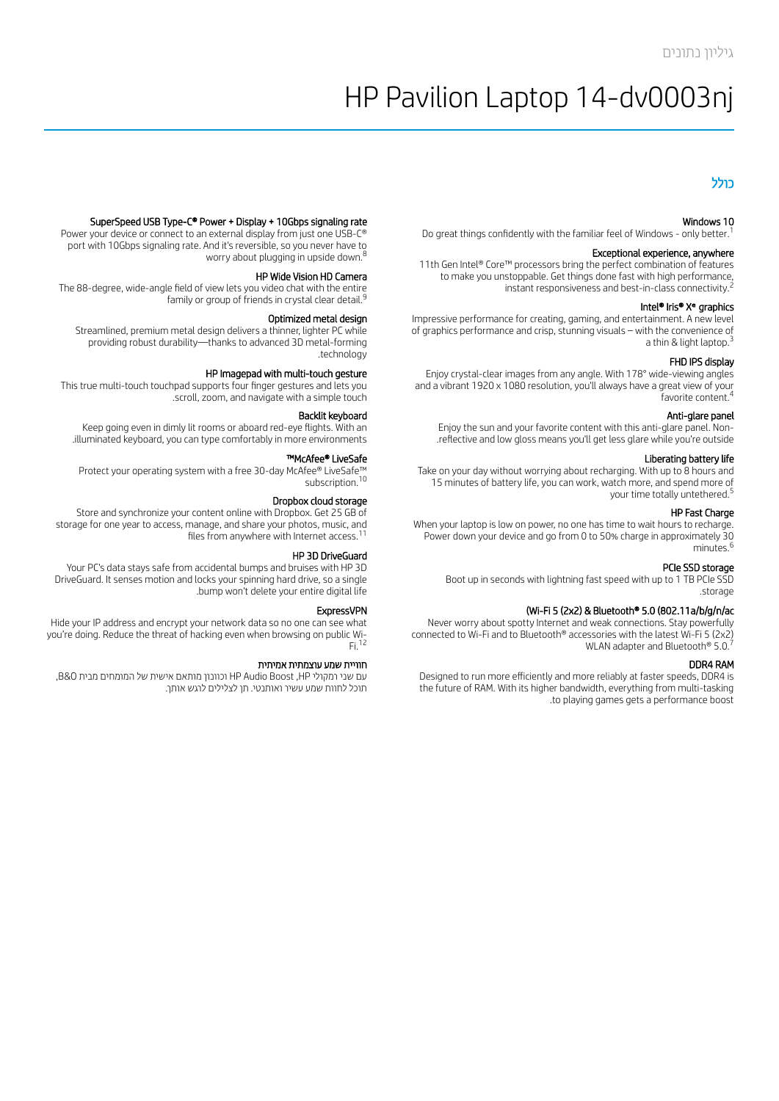### כולל

#### Windows 10

Do great things confidently with the familiar feel of Windows - only better. 1

#### Exceptional experience, anywhere

11th Gen Intel® Core™ processors bring the perfect combination of features to make you unstoppable. Get things done fast with high performance, instant responsiveness and best-in-class connectivity. 2

#### Intel<sup>®</sup> Iris® X<sup>e</sup> graphics

Impressive performance for creating, gaming, and entertainment. A new level of graphics performance and crisp, stunning visuals – with the convenience of a thin & light laptop. 3

#### FHD IPS display

Enjoy crystal-clear images from any angle. With 178° wide-viewing angles and a vibrant 1920 x 1080 resolution, you'll always have a great view of your favorite content. 4

#### Anti-glare panel

Enjoy the sun and your favorite content with this anti-glare panel. Non- .reflective and low gloss means you'll get less glare while you're outside

#### Liberating battery life

Take on your day without worrying about recharging. With up to 8 hours and 15 minutes of battery life, you can work, watch more, and spend more of your time totally untethered. 5

#### HP Fast Charge

When your laptop is low on power, no one has time to wait hours to recharge. Power down your device and go from 0 to 50% charge in approximately 30 minutes. 6

#### PCIe SSD storage

Boot up in seconds with lightning fast speed with up to 1 TB PCIe SSD .storage

#### (Wi-Fi 5 (2x2) & Bluetooth® 5.0 (802.11a/b/g/n/ac

Never worry about spotty Internet and weak connections. Stay powerfully connected to Wi-Fi and to Bluetooth® accessories with the latest Wi-Fi 5 (2x2) WLAN adapter and Bluetooth® 5.0.<sup>7</sup>

#### DDR4 RAM

Designed to run more efficiently and more reliably at faster speeds, DDR4 is the future of RAM. With its higher bandwidth, everything from multi-tasking .to playing games gets a performance boost

#### SuperSpeed USB Type-C® Power + Display + 10Gbps signaling rate

Power your device or connect to an external display from just one USB-C® port with 10Gbps signaling rate. And it's reversible, so you never have to worry about plugging in upside down. 8

#### HP Wide Vision HD Camera

The 88-degree, wide-angle field of view lets you video chat with the entire family or group of friends in crystal clear detail. 9

#### Optimized metal design

Streamlined, premium metal design delivers a thinner, lighter PC while providing robust durability—thanks to advanced 3D metal-forming .technology

#### HP Imagepad with multi-touch gesture

This true multi-touch touchpad supports four finger gestures and lets you .scroll, zoom, and navigate with a simple touch

#### Backlit keyboard

Keep going even in dimly lit rooms or aboard red-eye flights. With an .illuminated keyboard, you can type comfortably in more environments

#### ™McAfee® LiveSafe

Protect your operating system with a free 30-day McAfee® LiveSafe™ subscription. 10

#### Dropbox cloud storage

Store and synchronize your content online with Dropbox. Get 25 GB of storage for one year to access, manage, and share your photos, music, and files from anywhere with Internet access. $^{11}$ 

#### HP 3D DriveGuard

Your PC's data stays safe from accidental bumps and bruises with HP 3D DriveGuard. It senses motion and locks your spinning hard drive, so a single .bump won't delete your entire digital life

#### ExpressVPN

Hide your IP address and encrypt your network data so no one can see what you're doing. Reduce the threat of hacking even when browsing on public Wi-Fi. 12

#### חוויית שמע עוצמתית אמיתית

עם שני רמקולי HP, Boost Audio HP וכוונון מותאם אישית של המומחים מבית O&B, תוכל לחוות שמע עשיר ואותנטי. תן לצלילים לרגש אותך.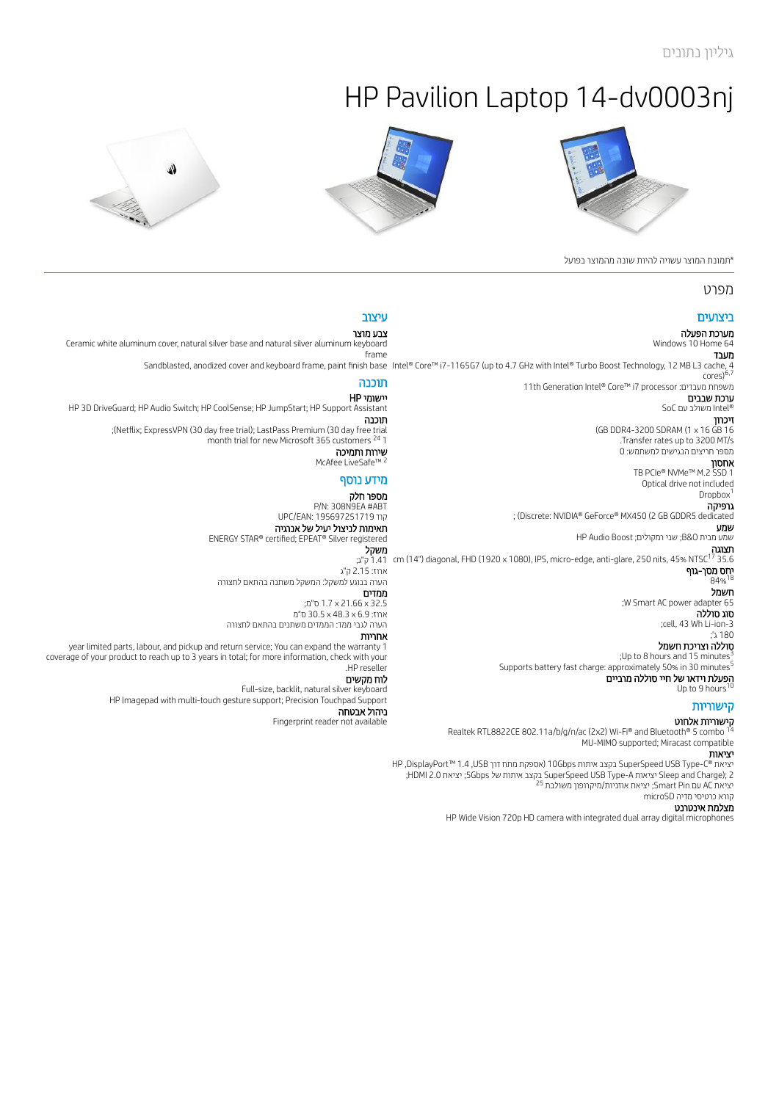





\*תמונת המוצר עשויה להיות שונה מהמוצר בפועל

# מפרט

### ביצועים מערכת הפעלה

Windows 10 Home 64

#### עיצוב צבע מוצר Ceramic white aluminum cover, natural silver base and natural silver aluminum keyboard frame

מעבד<br>Intel® Core™ i7-1165G7 (up to 4.7 GHz with Intel® Turbo Boost Technology, 12 MB L3 cache, 4 11th Generation Intel® Core™ i7 processor :מעבדים משפחת ערכת שבבים Sandblasted, anodized cover and keyboard frame, paint finish base Intel® Core™ i7-1165G7 (up to 4.7 GHz with Intel® Turbo Boost Technology, 12 MB L3 cache, 4<br>^^rac\<sup>6,7</sup> תוכנה

# RIntel משולב עם SoC

cores)

זיכרון (GB DDR4-3200 SDRAM (1 x 16 GB 16 .Transfer rates up to 3200 MT/s מספר חריצים הנגישים למשתמש: 0

אחסון TB PCIe® NVMe™ M.2 SSD 1 Optical drive not included Dropbox<sup>1</sup> גרפיקה ; (Discrete: NVIDIA® GeForce® MX450 (2 GB GDDR5 dedicated

שמע HP Audio Boost ;רמקולים שני; B&O מבית שמע

תצוגה<br>17 MISC<sup>17</sup> 35.6 (14") diagonal, FHD (1920 x 1080), IPS, micro-edge, anti-glare, 250 nits, 45% NTSC<sup>17</sup> 35.6 (<sub>ק"ג;</sub> יחס מסך-גוף 18 84%

חשמל ;W Smart AC power adapter 65

סוג סוללה ;cell, 43 Wh Li-ion-3 180 ג'; סוללה וצריכת חשמל

;Up to 8 hours and 15 minutes $\frac{3}{5}$ 

Supports battery fast charge: approximately 50% in 30 minutes $^{\rm 5}$ 

הפעלת וידאו של חיי סוללה מרביים<br>hto 9 bours<sup>10</sup> ما ا Up to 9 hours

# קישוריות

**קישוריות אלחוט**<br>nth® 5 combo <sup>14</sup> Realtek RTL8822CE 802.11a/b/g/n/ac (2x2) Wi-Fi® and Bluetooth® 5 combo MU-MIMO supported; Miracast compatible

### יציאות

HP ,DisplayPort™ 1.4 ,USB דרך מתח אספקת (10Gbps איתות בקצב SuperSpeed USB Type-C® יציאת ;HDMI 2.0 יציאת; 5Gbps של איתות בקצב SuperSpeed USB Type-A יציאות Sleep and Charge); 2 יציאת AC עם Smart Pin; יציאת אוזניות/מיקרופון משולבת <sup>25</sup> קורא כרטיסי מדיה microSD

#### מצלמת אינטרנט

HP Wide Vision 720p HD camera with integrated dual array digital microphones

יישומי HP HP 3D DriveGuard; HP Audio Switch; HP CoolSense; HP JumpStart; HP Support Assistant תוכנה ;(Netix; ExpressVPN (30 day free trial); LastPass Premium (30 day free trial month trial for new Microsoft 365 customers <sup>24</sup> 1 שירות ותמיכה McAfee LiveSafe™ 2

# מידע נוסף

מספר חלק P/N: 308N9EA #ABT UPC/EAN: 195697251719 קוד תאימות לניצול יעיל של אנרגיה ENERGY STAR® certified; EPEAT® Silver registered

ארוז: 2.15 ק"ג הערה בנוגע למשקל: המשקל משתנה בהתאם לתצורה

ממדים

32.5 x 21.66 x 1.7 ס"מ; ארוז: 6.9 x 48.3 x 30.5 ס"מ הערה לגבי ממד: הממדים משתנים בהתאם לתצורה

אחריות

year limited parts, labour, and pickup and return service; You can expand the warranty 1 coverage of your product to reach up to 3 years in total; for more information, check with your .HP reseller

לוח מקשים

Full-size, backlit, natural silver keyboard HP Imagepad with multi-touch gesture support; Precision Touchpad Support

ניהול אבטחה

Fingerprint reader not available